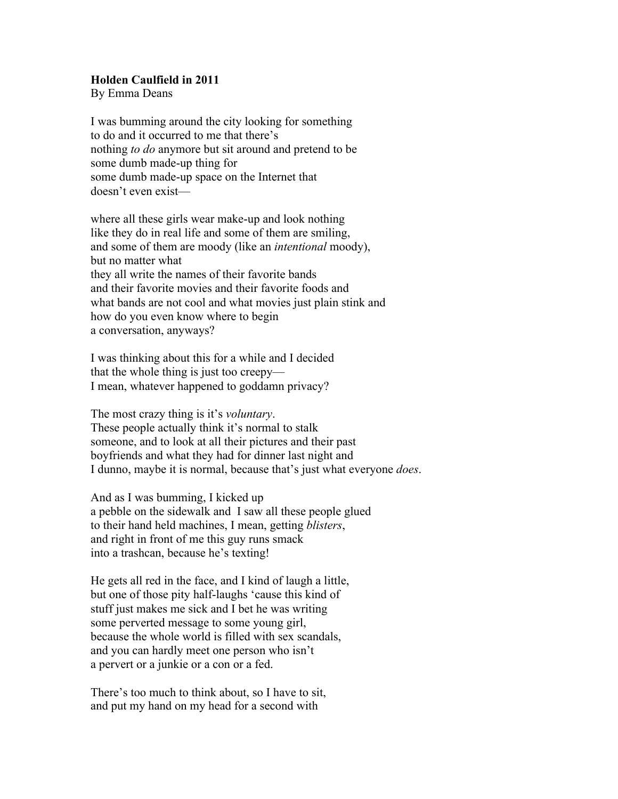## **Holden Caulfield in 2011**

By Emma Deans

I was bumming around the city looking for something to do and it occurred to me that there's nothing *to do* anymore but sit around and pretend to be some dumb made-up thing for some dumb made-up space on the Internet that doesn't even exist—

where all these girls wear make-up and look nothing like they do in real life and some of them are smiling, and some of them are moody (like an *intentional* moody), but no matter what they all write the names of their favorite bands and their favorite movies and their favorite foods and what bands are not cool and what movies just plain stink and how do you even know where to begin a conversation, anyways?

I was thinking about this for a while and I decided that the whole thing is just too creepy— I mean, whatever happened to goddamn privacy?

The most crazy thing is it's *voluntary*. These people actually think it's normal to stalk someone, and to look at all their pictures and their past boyfriends and what they had for dinner last night and I dunno, maybe it is normal, because that's just what everyone *does*.

And as I was bumming, I kicked up a pebble on the sidewalk and I saw all these people glued to their hand held machines, I mean, getting *blisters*, and right in front of me this guy runs smack into a trashcan, because he's texting!

He gets all red in the face, and I kind of laugh a little, but one of those pity half-laughs 'cause this kind of stuff just makes me sick and I bet he was writing some perverted message to some young girl, because the whole world is filled with sex scandals, and you can hardly meet one person who isn't a pervert or a junkie or a con or a fed.

There's too much to think about, so I have to sit, and put my hand on my head for a second with